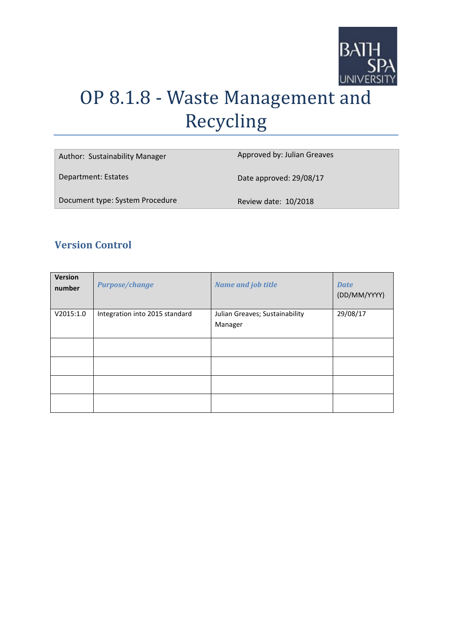

# OP 8.1.8 - Waste Management and Recycling

| Author: Sustainability Manager  | Approved by: Julian Greaves |
|---------------------------------|-----------------------------|
| Department: Estates             | Date approved: 29/08/17     |
| Document type: System Procedure | Review date: 10/2018        |

## **Version Control**

| <b>Version</b><br>number | <b>Purpose/change</b>          | <b>Name and job title</b>                 | <b>Date</b><br>(DD/MM/YYYY) |
|--------------------------|--------------------------------|-------------------------------------------|-----------------------------|
| V2015:1.0                | Integration into 2015 standard | Julian Greaves; Sustainability<br>Manager | 29/08/17                    |
|                          |                                |                                           |                             |
|                          |                                |                                           |                             |
|                          |                                |                                           |                             |
|                          |                                |                                           |                             |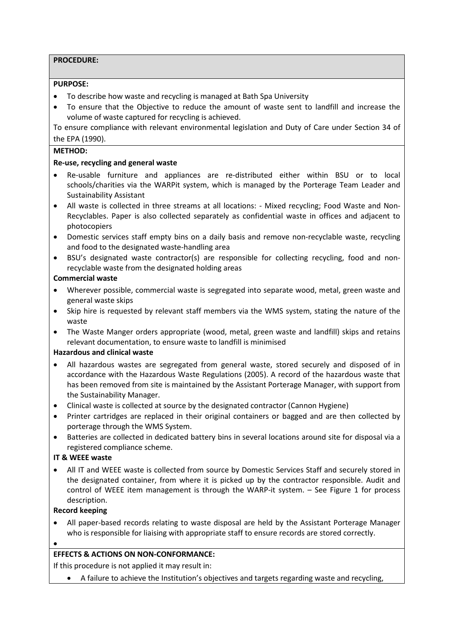#### **PROCEDURE:**

#### **PURPOSE:**

- To describe how waste and recycling is managed at Bath Spa University
- To ensure that the Objective to reduce the amount of waste sent to landfill and increase the volume of waste captured for recycling is achieved.

To ensure compliance with relevant environmental legislation and Duty of Care under Section 34 of the EPA (1990).

#### **METHOD:**

#### **Re-use, recycling and general waste**

- Re-usable furniture and appliances are re-distributed either within BSU or to local schools/charities via the WARPit system, which is managed by the Porterage Team Leader and Sustainability Assistant
- All waste is collected in three streams at all locations: Mixed recycling; Food Waste and Non-Recyclables. Paper is also collected separately as confidential waste in offices and adjacent to photocopiers
- Domestic services staff empty bins on a daily basis and remove non-recyclable waste, recycling and food to the designated waste-handling area
- BSU's designated waste contractor(s) are responsible for collecting recycling, food and nonrecyclable waste from the designated holding areas

#### **Commercial waste**

- Wherever possible, commercial waste is segregated into separate wood, metal, green waste and general waste skips
- Skip hire is requested by relevant staff members via the WMS system, stating the nature of the waste
- The Waste Manger orders appropriate (wood, metal, green waste and landfill) skips and retains relevant documentation, to ensure waste to landfill is minimised

#### **Hazardous and clinical waste**

- All hazardous wastes are segregated from general waste, stored securely and disposed of in accordance with the Hazardous Waste Regulations (2005). A record of the hazardous waste that has been removed from site is maintained by the Assistant Porterage Manager, with support from the Sustainability Manager.
- Clinical waste is collected at source by the designated contractor (Cannon Hygiene)
- Printer cartridges are replaced in their original containers or bagged and are then collected by porterage through the WMS System.
- Batteries are collected in dedicated battery bins in several locations around site for disposal via a registered compliance scheme.

#### **IT & WEEE waste**

• All IT and WEEE waste is collected from source by Domestic Services Staff and securely stored in the designated container, from where it is picked up by the contractor responsible. Audit and control of WEEE item management is through the WARP-it system. – See Figure 1 for process description.

#### **Record keeping**

- All paper-based records relating to waste disposal are held by the Assistant Porterage Manager who is responsible for liaising with appropriate staff to ensure records are stored correctly.
- •

### **EFFECTS & ACTIONS ON NON-CONFORMANCE:**

If this procedure is not applied it may result in:

• A failure to achieve the Institution's objectives and targets regarding waste and recycling,